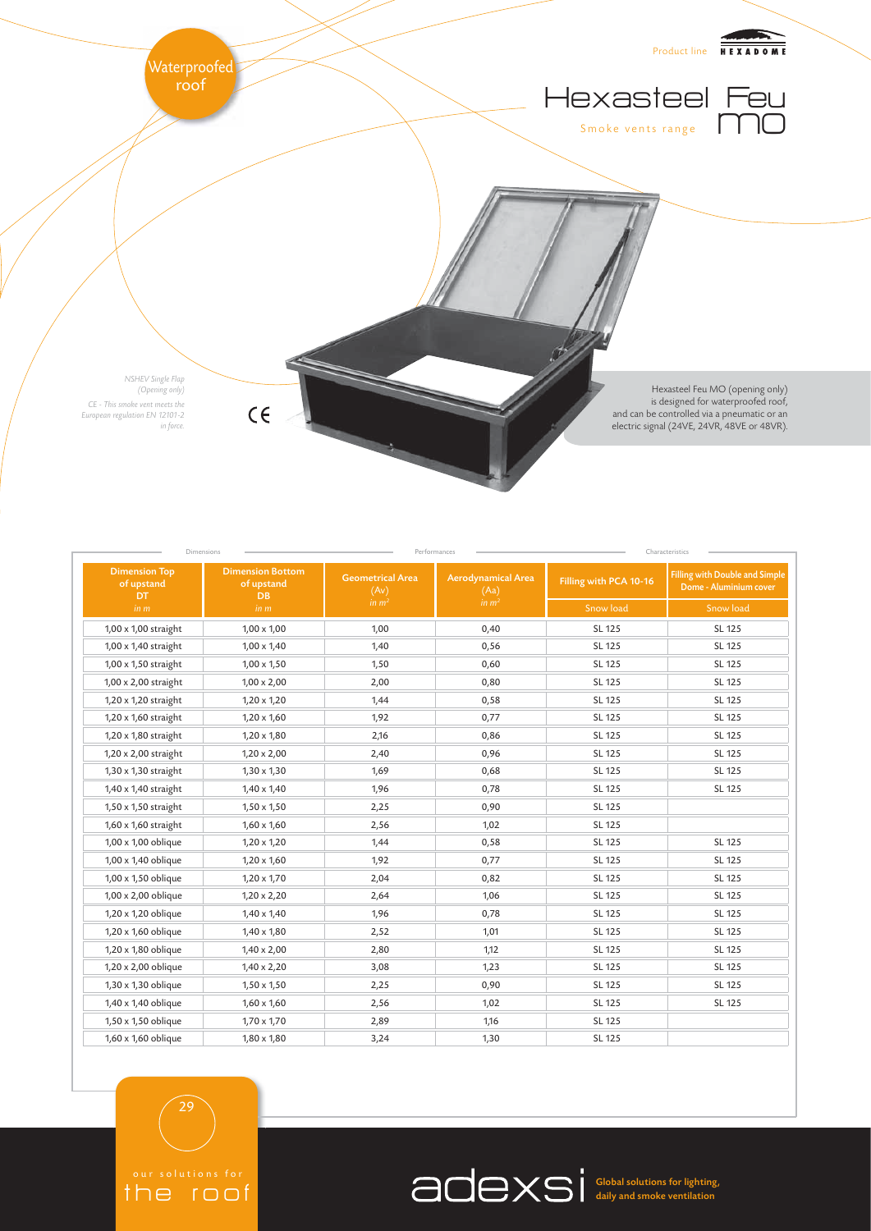

| <b>Dimension Top</b><br>of upstand<br>DT | <b>Dimension Bottom</b><br>of upstand<br><b>DB</b> | <b>Geometrical Area</b><br>(Av) | <b>Aerodynamical Area</b><br>(Aa) | Filling with PCA 10-16 | <b>Filling with Double and Simple</b><br>Dome - Aluminium cover |
|------------------------------------------|----------------------------------------------------|---------------------------------|-----------------------------------|------------------------|-----------------------------------------------------------------|
| in m                                     | in m                                               | in $m2$                         | in m <sup>2</sup>                 | Snow load              | Snow load                                                       |
| 1,00 x 1,00 straight                     | $1,00 \times 1,00$                                 | 1,00                            | 0,40                              | SL 125                 | SL 125                                                          |
| 1,00 x 1,40 straight                     | $1,00 \times 1,40$                                 | 1,40                            | 0,56                              | SL 125                 | SL 125                                                          |
| 1,00 x 1,50 straight                     | $1,00 \times 1,50$                                 | 1,50                            | 0,60                              | SL 125                 | SL 125                                                          |
| 1,00 x 2,00 straight                     | $1,00 \times 2,00$                                 | 2,00                            | 0,80                              | SL 125                 | SL 125                                                          |
| 1,20 x 1,20 straight                     | $1,20 \times 1,20$                                 | 1,44                            | 0,58                              | SL 125                 | SL 125                                                          |
| 1,20 x 1,60 straight                     | $1,20 \times 1,60$                                 | 1,92                            | 0,77                              | SL 125                 | SL 125                                                          |
| 1,20 x 1,80 straight                     | $1,20 \times 1,80$                                 | 2,16                            | 0,86                              | SL 125                 | SL 125                                                          |
| 1,20 x 2,00 straight                     | $1,20 \times 2,00$                                 | 2,40                            | 0,96                              | SL 125                 | SL 125                                                          |
| 1,30 x 1,30 straight                     | $1,30 \times 1,30$                                 | 1,69                            | 0,68                              | SL 125                 | SL 125                                                          |
| 1,40 x 1,40 straight                     | $1,40 \times 1,40$                                 | 1,96                            | 0,78                              | SL 125                 | SL 125                                                          |
| 1,50 x 1,50 straight                     | $1,50 \times 1,50$                                 | 2,25                            | 0,90                              | SL 125                 |                                                                 |
| 1,60 x 1,60 straight                     | $1,60 \times 1,60$                                 | 2,56                            | 1,02                              | SL 125                 |                                                                 |
| 1,00 x 1,00 oblique                      | $1,20 \times 1,20$                                 | 1,44                            | 0,58                              | SL 125                 | SL 125                                                          |
| 1,00 x 1,40 oblique                      | $1,20 \times 1,60$                                 | 1,92                            | 0,77                              | SL 125                 | SL 125                                                          |
| 1,00 x 1,50 oblique                      | $1,20 \times 1,70$                                 | 2,04                            | 0,82                              | SL 125                 | SL 125                                                          |
| 1,00 x 2,00 oblique                      | $1,20 \times 2,20$                                 | 2,64                            | 1,06                              | SL 125                 | SL 125                                                          |
| 1,20 x 1,20 oblique                      | $1,40 \times 1,40$                                 | 1,96                            | 0,78                              | SL 125                 | SL 125                                                          |
| 1,20 x 1,60 oblique                      | $1,40 \times 1,80$                                 | 2,52                            | 1,01                              | SL 125                 | SL 125                                                          |
| 1,20 x 1,80 oblique                      | $1,40 \times 2,00$                                 | 2,80                            | 1,12                              | SL 125                 | SL 125                                                          |
| 1,20 x 2,00 oblique                      | $1,40 \times 2,20$                                 | 3,08                            | 1,23                              | SL 125                 | SL 125                                                          |
| 1,30 x 1,30 oblique                      | $1,50 \times 1,50$                                 | 2,25                            | 0,90                              | SL 125                 | SL 125                                                          |
| 1,40 x 1,40 oblique                      | $1,60 \times 1,60$                                 | 2,56                            | 1,02                              | SL 125                 | SL 125                                                          |
| 1,50 x 1,50 oblique                      | $1,70 \times 1,70$                                 | 2,89                            | 1,16                              | SL 125                 |                                                                 |
| 1,60 x 1,60 oblique                      | $1,80 \times 1,80$                                 | 3,24                            | 1,30                              | SL 125                 |                                                                 |

29

the roof

Global solutions for lighting, daily and smoke ventilation